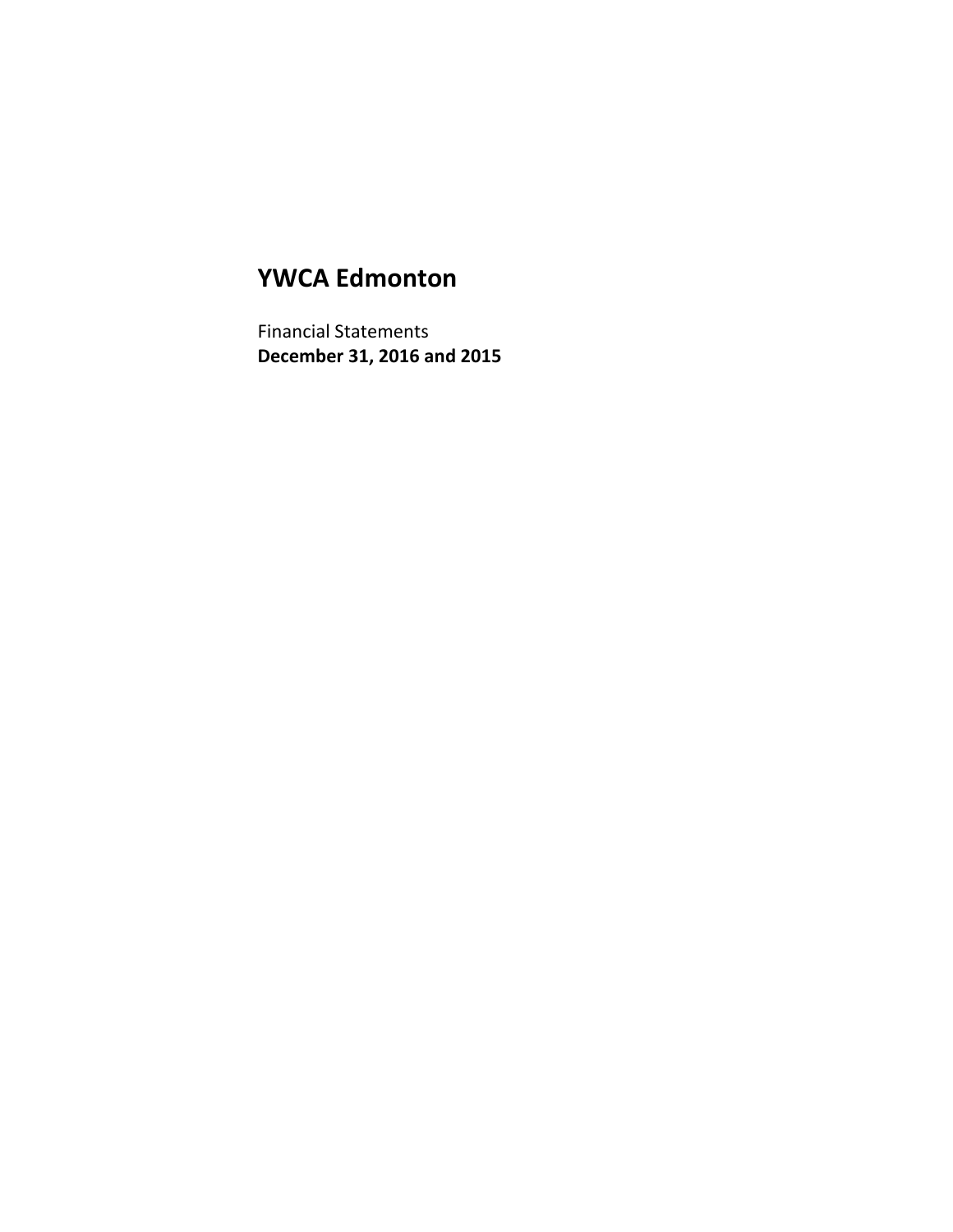# **YWCA Edmonton**

Financial Statements **December 31, 2016 and 2015**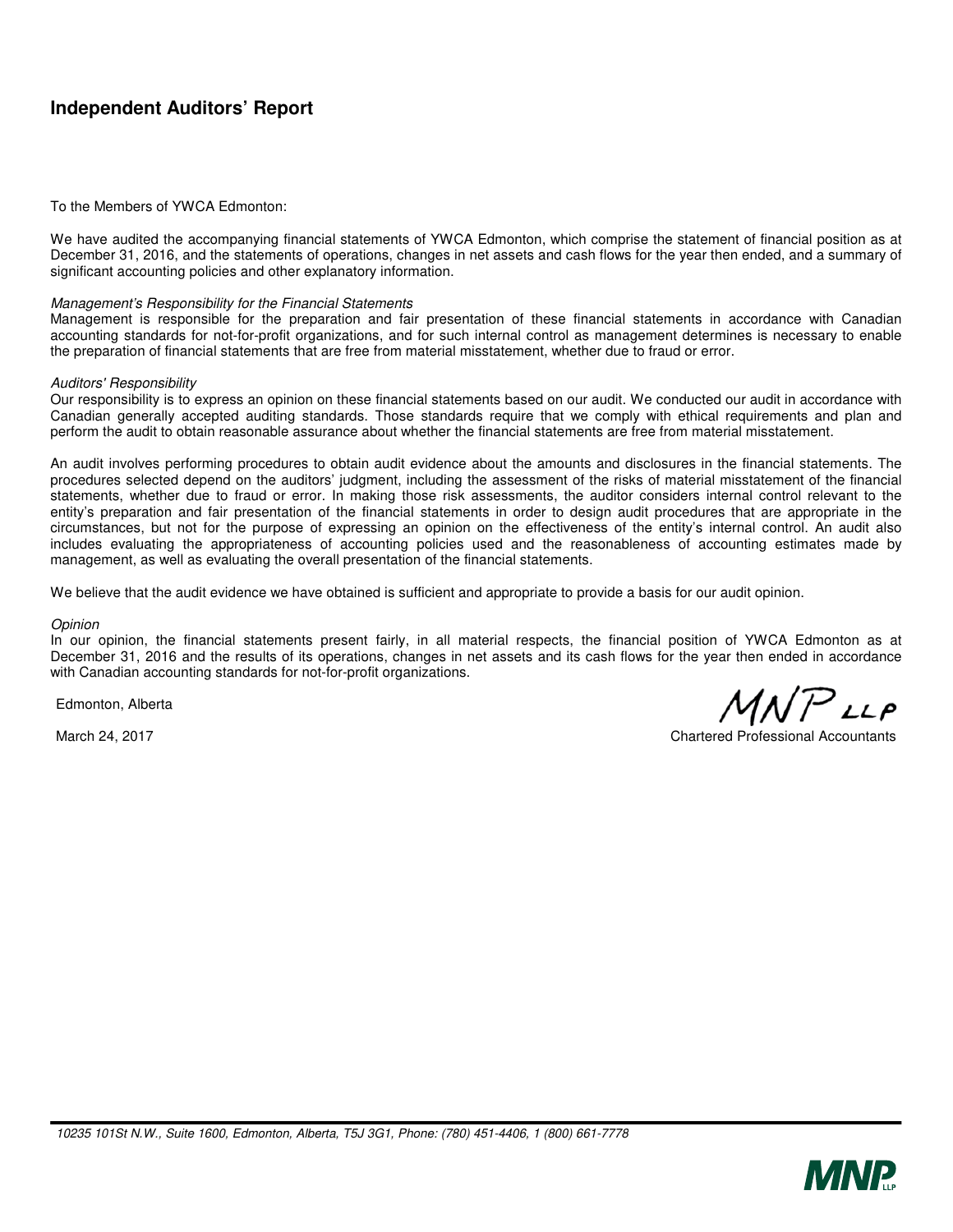# **Independent Auditors' Report**

#### To the Members of YWCA Edmonton:

We have audited the accompanying financial statements of YWCA Edmonton, which comprise the statement of financial position as at December 31, 2016, and the statements of operations, changes in net assets and cash flows for the year then ended, and a summary of significant accounting policies and other explanatory information.

#### *Management's Responsibility for the Financial Statements*

Management is responsible for the preparation and fair presentation of these financial statements in accordance with Canadian accounting standards for not-for-profit organizations, and for such internal control as management determines is necessary to enable the preparation of financial statements that are free from material misstatement, whether due to fraud or error.

#### *Auditors' Responsibility*

Our responsibility is to express an opinion on these financial statements based on our audit. We conducted our audit in accordance with Canadian generally accepted auditing standards. Those standards require that we comply with ethical requirements and plan and perform the audit to obtain reasonable assurance about whether the financial statements are free from material misstatement.

An audit involves performing procedures to obtain audit evidence about the amounts and disclosures in the financial statements. The procedures selected depend on the auditors' judgment, including the assessment of the risks of material misstatement of the financial statements, whether due to fraud or error. In making those risk assessments, the auditor considers internal control relevant to the entity's preparation and fair presentation of the financial statements in order to design audit procedures that are appropriate in the circumstances, but not for the purpose of expressing an opinion on the effectiveness of the entity's internal control. An audit also includes evaluating the appropriateness of accounting policies used and the reasonableness of accounting estimates made by management, as well as evaluating the overall presentation of the financial statements.

We believe that the audit evidence we have obtained is sufficient and appropriate to provide a basis for our audit opinion.

#### *Opinion*

In our opinion, the financial statements present fairly, in all material respects, the financial position of YWCA Edmonton as at December 31, 2016 and the results of its operations, changes in net assets and its cash flows for the year then ended in accordance with Canadian accounting standards for not-for-profit organizations.

Edmonton, Alberta

 $MNPLP$ 

March 24, 2017 **Chartered Professional Accountants** Chartered Professional Accountants

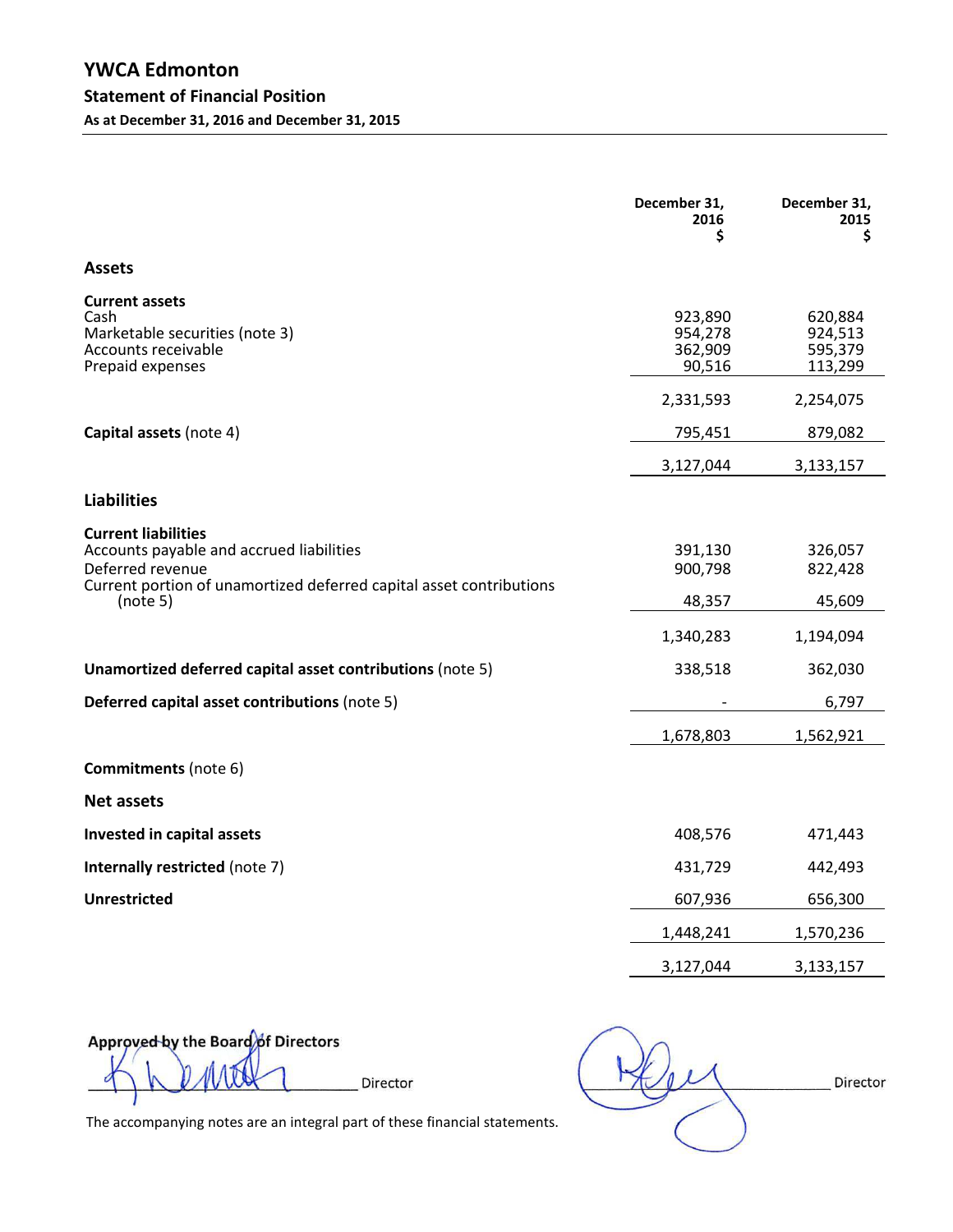|                                                                                                                                                                   | December 31,<br>2016<br>\$              | December 31,<br>2015<br>\$               |
|-------------------------------------------------------------------------------------------------------------------------------------------------------------------|-----------------------------------------|------------------------------------------|
| <b>Assets</b>                                                                                                                                                     |                                         |                                          |
| <b>Current assets</b><br>Cash<br>Marketable securities (note 3)<br>Accounts receivable<br>Prepaid expenses                                                        | 923,890<br>954,278<br>362,909<br>90,516 | 620,884<br>924,513<br>595,379<br>113,299 |
|                                                                                                                                                                   | 2,331,593                               | 2,254,075                                |
| Capital assets (note 4)                                                                                                                                           | 795,451                                 | 879,082                                  |
|                                                                                                                                                                   | 3,127,044                               | 3,133,157                                |
| <b>Liabilities</b>                                                                                                                                                |                                         |                                          |
| <b>Current liabilities</b><br>Accounts payable and accrued liabilities<br>Deferred revenue<br>Current portion of unamortized deferred capital asset contributions | 391,130<br>900,798                      | 326,057<br>822,428                       |
| (note 5)                                                                                                                                                          | 48,357                                  | 45,609                                   |
|                                                                                                                                                                   | 1,340,283                               | 1,194,094                                |
| Unamortized deferred capital asset contributions (note 5)                                                                                                         | 338,518                                 | 362,030                                  |
| Deferred capital asset contributions (note 5)                                                                                                                     |                                         | 6,797                                    |
|                                                                                                                                                                   | 1,678,803                               | 1,562,921                                |
| <b>Commitments</b> (note 6)                                                                                                                                       |                                         |                                          |
| <b>Net assets</b>                                                                                                                                                 |                                         |                                          |
| Invested in capital assets                                                                                                                                        | 408,576                                 | 471,443                                  |
| Internally restricted (note 7)                                                                                                                                    | 431,729                                 | 442,493                                  |
| <b>Unrestricted</b>                                                                                                                                               | 607,936                                 | 656,300                                  |
|                                                                                                                                                                   | 1,448,241                               | 1,570,236                                |
|                                                                                                                                                                   | 3,127,044                               | 3,133,157                                |

Approved by the Board of Directors

Director

The accompanying notes are an integral part of these financial statements.

Director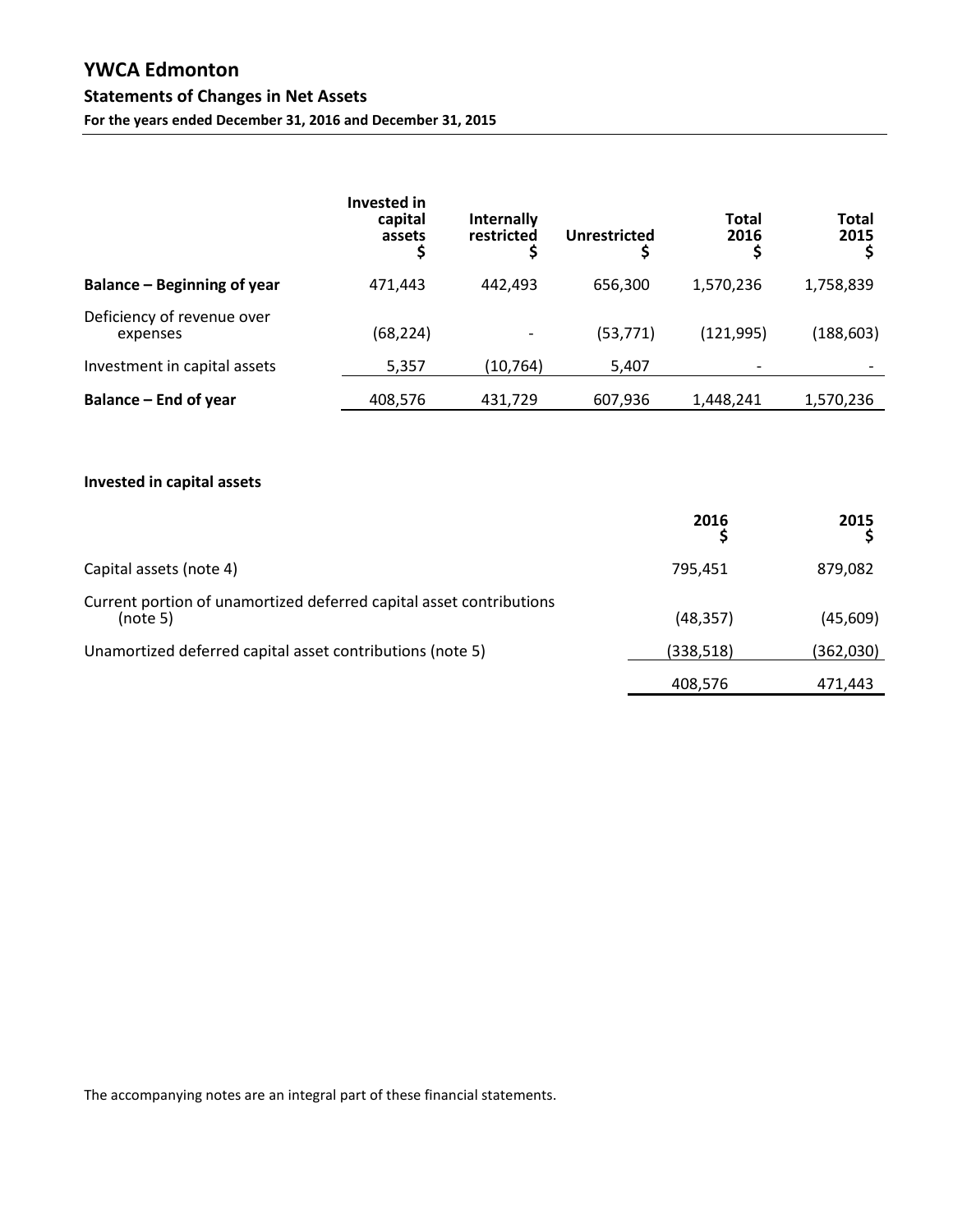# **YWCA Edmonton Statements of Changes in Net Assets For the years ended December 31, 2016 and December 31, 2015**

|                                        | <b>Invested in</b><br>capital<br>assets | Internally<br>restricted | <b>Unrestricted</b> | Total<br>2016 | Total<br>2015 |
|----------------------------------------|-----------------------------------------|--------------------------|---------------------|---------------|---------------|
| Balance – Beginning of year            | 471.443                                 | 442.493                  | 656,300             | 1,570,236     | 1,758,839     |
| Deficiency of revenue over<br>expenses | (68, 224)                               |                          | (53, 771)           | (121, 995)    | (188, 603)    |
| Investment in capital assets           | 5,357                                   | (10, 764)                | 5,407               |               |               |
| Balance – End of year                  | 408,576                                 | 431,729                  | 607,936             | 1,448,241     | 1,570,236     |

## **Invested in capital assets**

|                                                                                 | 2016      | 2015      |
|---------------------------------------------------------------------------------|-----------|-----------|
| Capital assets (note 4)                                                         | 795,451   | 879,082   |
| Current portion of unamortized deferred capital asset contributions<br>(note 5) | (48, 357) | (45,609)  |
| Unamortized deferred capital asset contributions (note 5)                       | (338,518) | (362,030) |
|                                                                                 | 408,576   | 471.443   |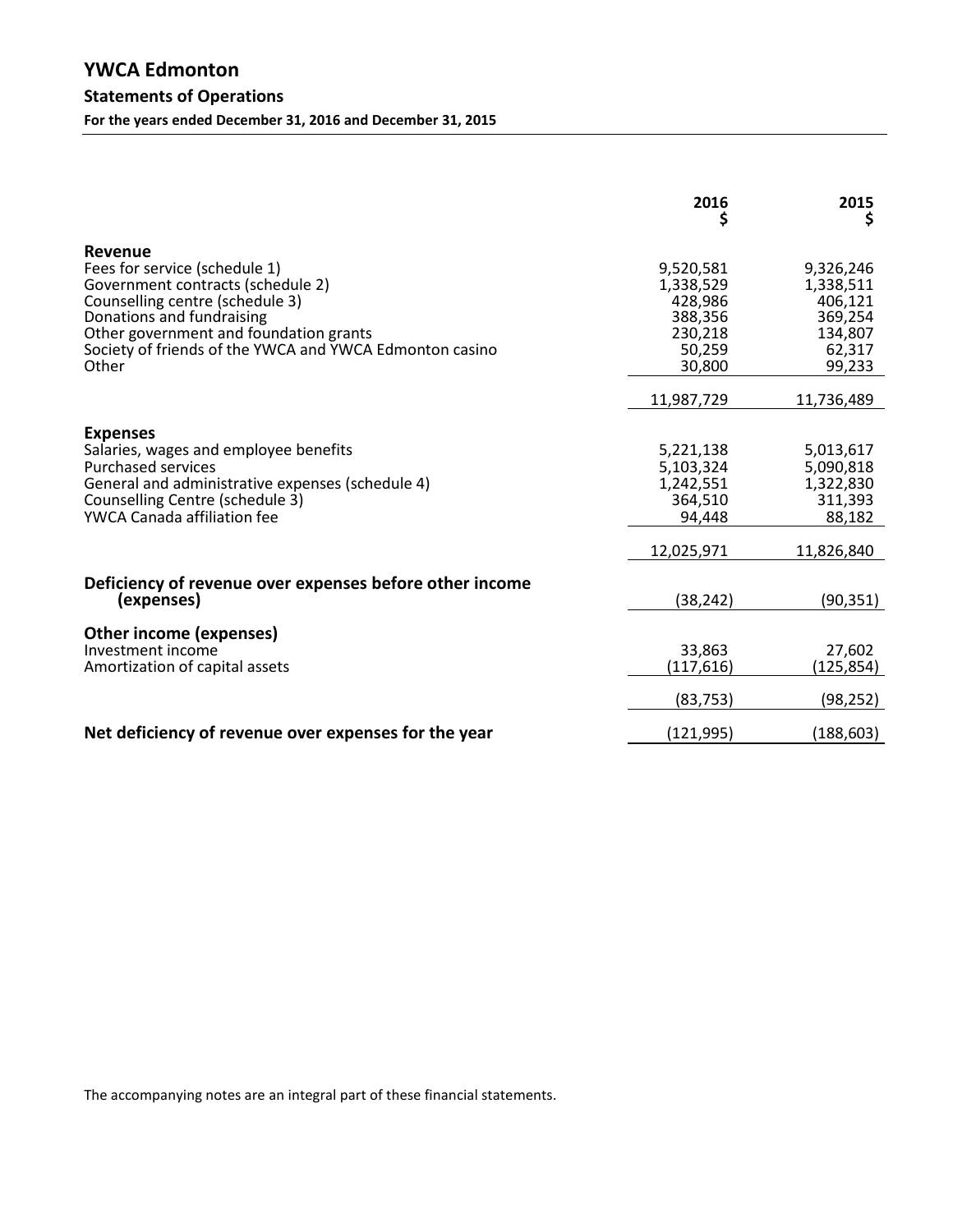|                                                                                                                                                                                                                                                             | 2016<br>Ş                                                                   | 2015<br>\$                                                                  |
|-------------------------------------------------------------------------------------------------------------------------------------------------------------------------------------------------------------------------------------------------------------|-----------------------------------------------------------------------------|-----------------------------------------------------------------------------|
| Revenue<br>Fees for service (schedule 1)<br>Government contracts (schedule 2)<br>Counselling centre (schedule 3)<br>Donations and fundraising<br>Other government and foundation grants<br>Society of friends of the YWCA and YWCA Edmonton casino<br>Other | 9,520,581<br>1,338,529<br>428,986<br>388,356<br>230,218<br>50,259<br>30,800 | 9,326,246<br>1,338,511<br>406,121<br>369,254<br>134,807<br>62,317<br>99,233 |
|                                                                                                                                                                                                                                                             | 11,987,729                                                                  | 11,736,489                                                                  |
| <b>Expenses</b><br>Salaries, wages and employee benefits<br><b>Purchased services</b><br>General and administrative expenses (schedule 4)<br>Counselling Centre (schedule 3)<br><b>YWCA Canada affiliation fee</b>                                          | 5,221,138<br>5,103,324<br>1,242,551<br>364,510<br>94,448                    | 5,013,617<br>5,090,818<br>1,322,830<br>311,393<br>88,182                    |
|                                                                                                                                                                                                                                                             | 12,025,971                                                                  | 11,826,840                                                                  |
| Deficiency of revenue over expenses before other income<br>(expenses)                                                                                                                                                                                       | (38, 242)                                                                   | (90, 351)                                                                   |
| Other income (expenses)<br>Investment income<br>Amortization of capital assets                                                                                                                                                                              | 33,863<br>(117,616)<br>(83, 753)                                            | 27,602<br>(125,854)<br>(98, 252)                                            |
| Net deficiency of revenue over expenses for the year                                                                                                                                                                                                        | (121, 995)                                                                  | (188, 603)                                                                  |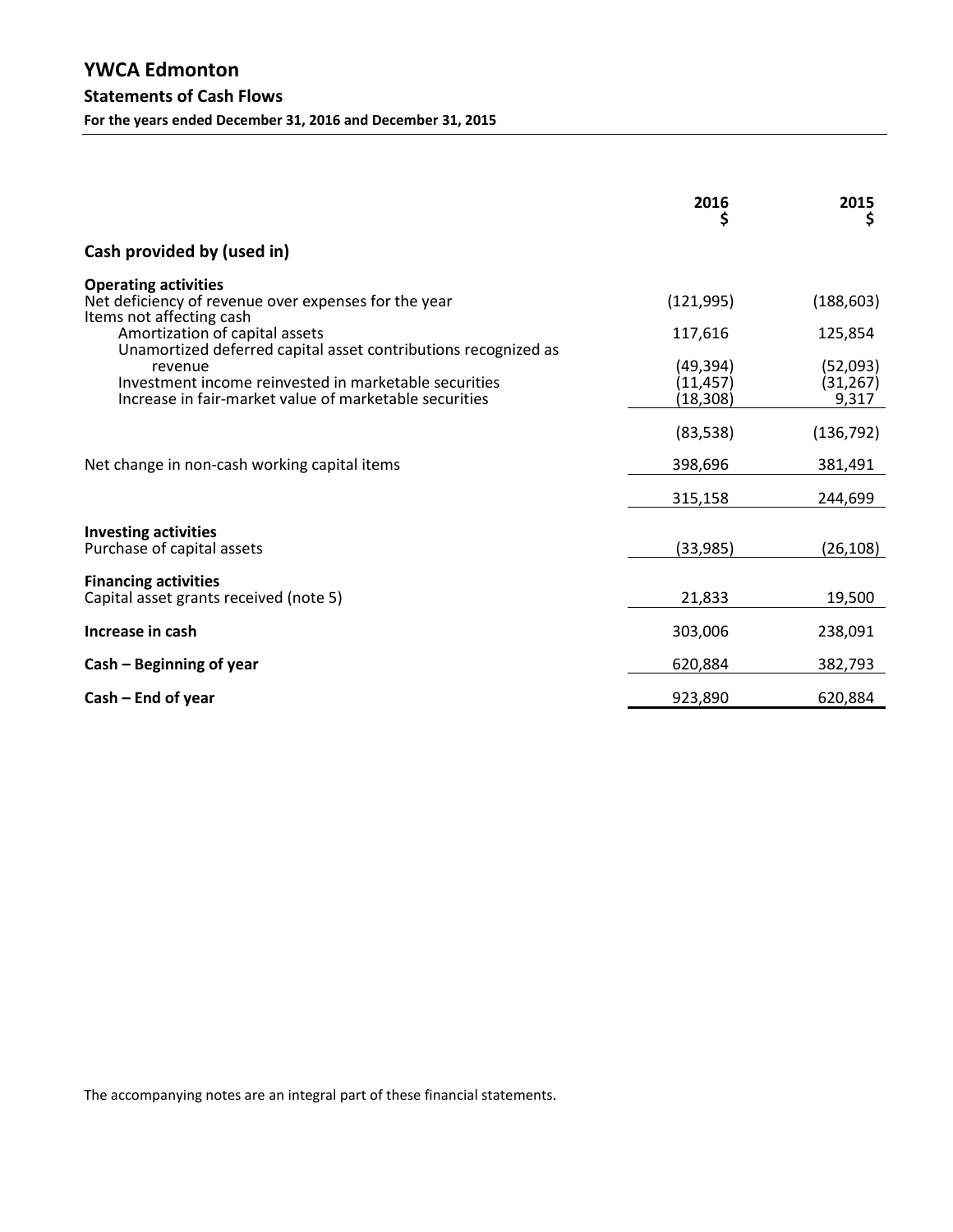|                                                                                                                                                                                              | 2016<br>\$                        | 2015<br>Ş                      |
|----------------------------------------------------------------------------------------------------------------------------------------------------------------------------------------------|-----------------------------------|--------------------------------|
| Cash provided by (used in)                                                                                                                                                                   |                                   |                                |
| <b>Operating activities</b><br>Net deficiency of revenue over expenses for the year<br>Items not affecting cash                                                                              | (121, 995)                        | (188, 603)                     |
| Amortization of capital assets                                                                                                                                                               | 117,616                           | 125,854                        |
| Unamortized deferred capital asset contributions recognized as<br>revenue<br>Investment income reinvested in marketable securities<br>Increase in fair-market value of marketable securities | (49,394)<br>(11, 457)<br>(18,308) | (52,093)<br>(31, 267)<br>9,317 |
|                                                                                                                                                                                              | (83, 538)                         | (136, 792)                     |
| Net change in non-cash working capital items                                                                                                                                                 | 398,696                           | 381,491                        |
|                                                                                                                                                                                              | 315,158                           | 244,699                        |
| <b>Investing activities</b><br>Purchase of capital assets                                                                                                                                    | (33, 985)                         | (26, 108)                      |
| <b>Financing activities</b><br>Capital asset grants received (note 5)                                                                                                                        | 21,833                            | 19,500                         |
| Increase in cash                                                                                                                                                                             | 303,006                           | 238,091                        |
| Cash – Beginning of year                                                                                                                                                                     | 620,884                           | 382,793                        |
| $Cash - End of year$                                                                                                                                                                         | 923,890                           | 620,884                        |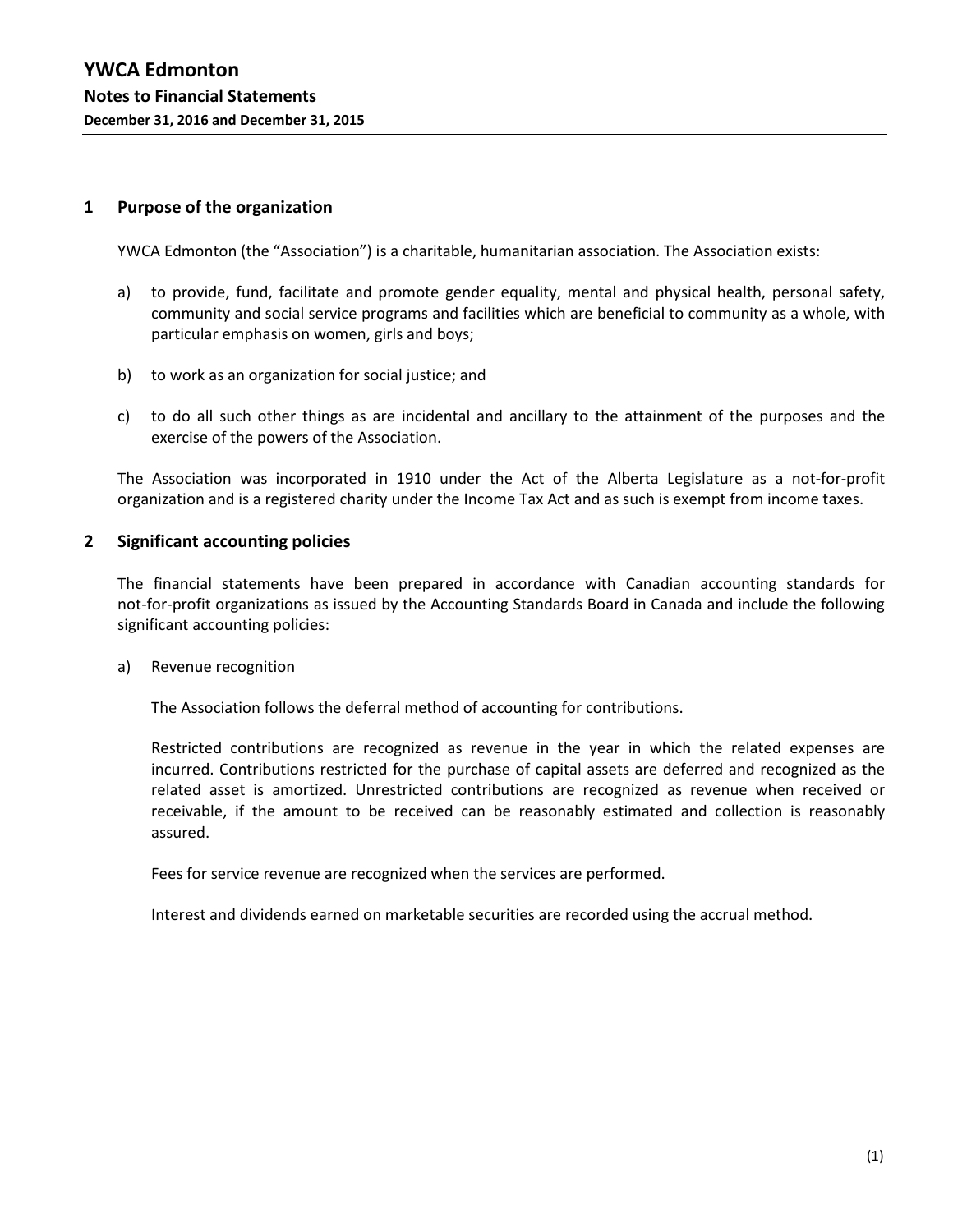#### **1 Purpose of the organization**

YWCA Edmonton (the "Association") is a charitable, humanitarian association. The Association exists:

- a) to provide, fund, facilitate and promote gender equality, mental and physical health, personal safety, community and social service programs and facilities which are beneficial to community as a whole, with particular emphasis on women, girls and boys;
- b) to work as an organization for social justice; and
- c) to do all such other things as are incidental and ancillary to the attainment of the purposes and the exercise of the powers of the Association.

The Association was incorporated in 1910 under the Act of the Alberta Legislature as a not-for-profit organization and is a registered charity under the Income Tax Act and as such is exempt from income taxes.

#### **2 Significant accounting policies**

The financial statements have been prepared in accordance with Canadian accounting standards for not-for-profit organizations as issued by the Accounting Standards Board in Canada and include the following significant accounting policies:

a) Revenue recognition

The Association follows the deferral method of accounting for contributions.

Restricted contributions are recognized as revenue in the year in which the related expenses are incurred. Contributions restricted for the purchase of capital assets are deferred and recognized as the related asset is amortized. Unrestricted contributions are recognized as revenue when received or receivable, if the amount to be received can be reasonably estimated and collection is reasonably assured.

Fees for service revenue are recognized when the services are performed.

Interest and dividends earned on marketable securities are recorded using the accrual method.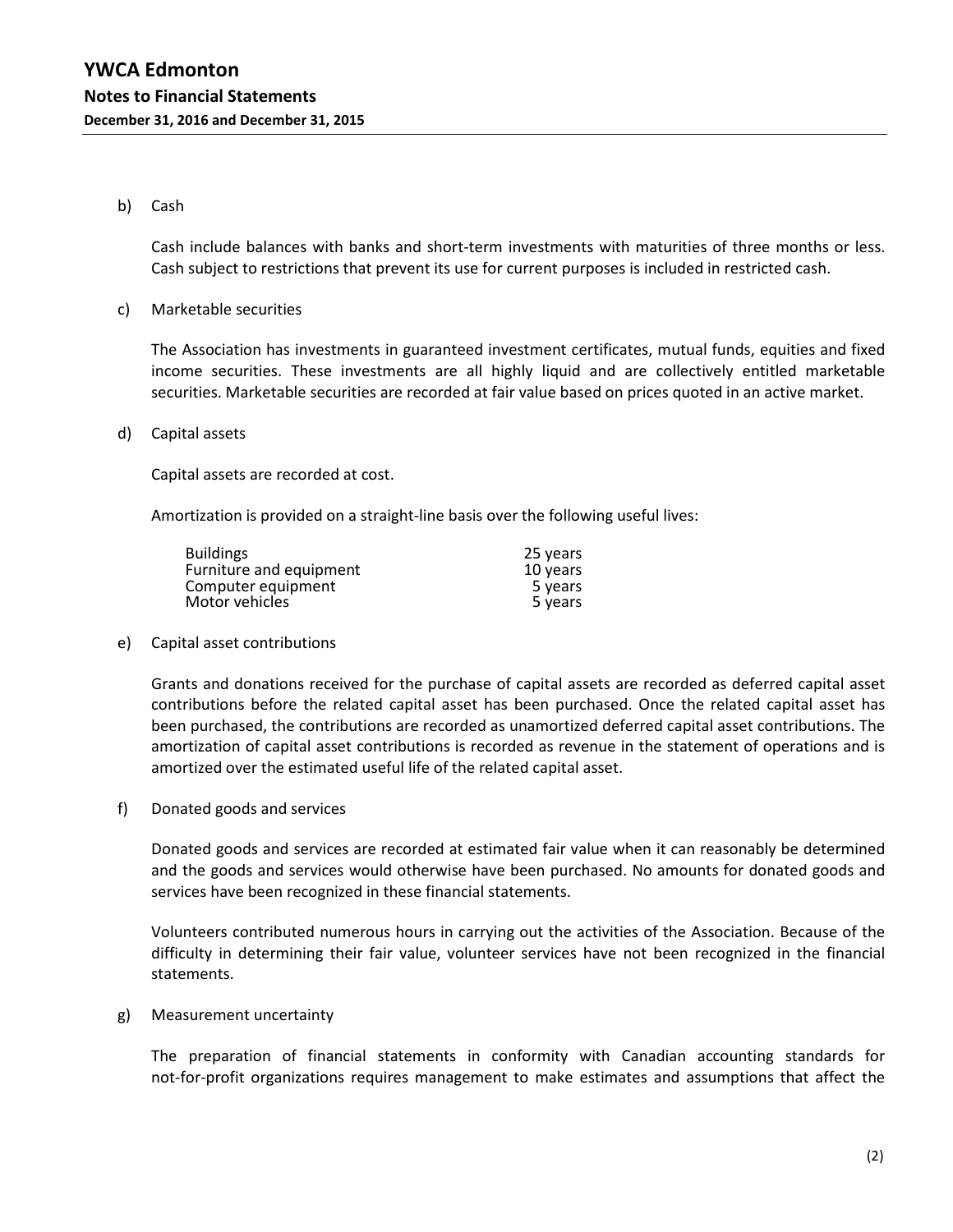#### b) Cash

Cash include balances with banks and short-term investments with maturities of three months or less. Cash subject to restrictions that prevent its use for current purposes is included in restricted cash.

c) Marketable securities

The Association has investments in guaranteed investment certificates, mutual funds, equities and fixed income securities. These investments are all highly liquid and are collectively entitled marketable securities. Marketable securities are recorded at fair value based on prices quoted in an active market.

d) Capital assets

Capital assets are recorded at cost.

Amortization is provided on a straight-line basis over the following useful lives:

| <b>Buildings</b>        | 25 years |
|-------------------------|----------|
| Furniture and equipment | 10 years |
| Computer equipment      | 5 years  |
| Motor vehicles          | 5 years  |

#### e) Capital asset contributions

Grants and donations received for the purchase of capital assets are recorded as deferred capital asset contributions before the related capital asset has been purchased. Once the related capital asset has been purchased, the contributions are recorded as unamortized deferred capital asset contributions. The amortization of capital asset contributions is recorded as revenue in the statement of operations and is amortized over the estimated useful life of the related capital asset.

f) Donated goods and services

Donated goods and services are recorded at estimated fair value when it can reasonably be determined and the goods and services would otherwise have been purchased. No amounts for donated goods and services have been recognized in these financial statements.

Volunteers contributed numerous hours in carrying out the activities of the Association. Because of the difficulty in determining their fair value, volunteer services have not been recognized in the financial statements.

g) Measurement uncertainty

The preparation of financial statements in conformity with Canadian accounting standards for not-for-profit organizations requires management to make estimates and assumptions that affect the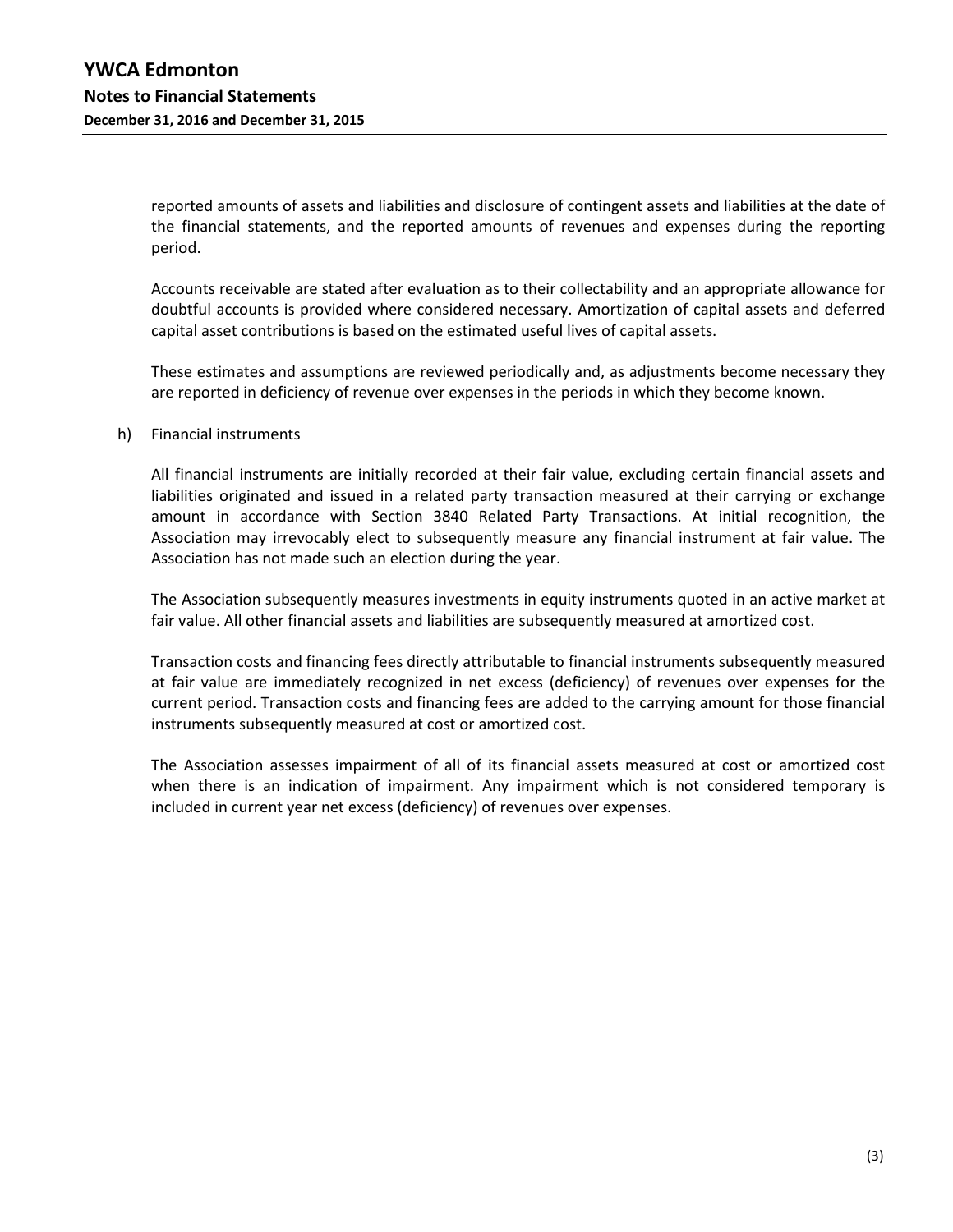reported amounts of assets and liabilities and disclosure of contingent assets and liabilities at the date of the financial statements, and the reported amounts of revenues and expenses during the reporting period.

Accounts receivable are stated after evaluation as to their collectability and an appropriate allowance for doubtful accounts is provided where considered necessary. Amortization of capital assets and deferred capital asset contributions is based on the estimated useful lives of capital assets.

These estimates and assumptions are reviewed periodically and, as adjustments become necessary they are reported in deficiency of revenue over expenses in the periods in which they become known.

#### h) Financial instruments

All financial instruments are initially recorded at their fair value, excluding certain financial assets and liabilities originated and issued in a related party transaction measured at their carrying or exchange amount in accordance with Section 3840 Related Party Transactions. At initial recognition, the Association may irrevocably elect to subsequently measure any financial instrument at fair value. The Association has not made such an election during the year.

The Association subsequently measures investments in equity instruments quoted in an active market at fair value. All other financial assets and liabilities are subsequently measured at amortized cost.

Transaction costs and financing fees directly attributable to financial instruments subsequently measured at fair value are immediately recognized in net excess (deficiency) of revenues over expenses for the current period. Transaction costs and financing fees are added to the carrying amount for those financial instruments subsequently measured at cost or amortized cost.

The Association assesses impairment of all of its financial assets measured at cost or amortized cost when there is an indication of impairment. Any impairment which is not considered temporary is included in current year net excess (deficiency) of revenues over expenses.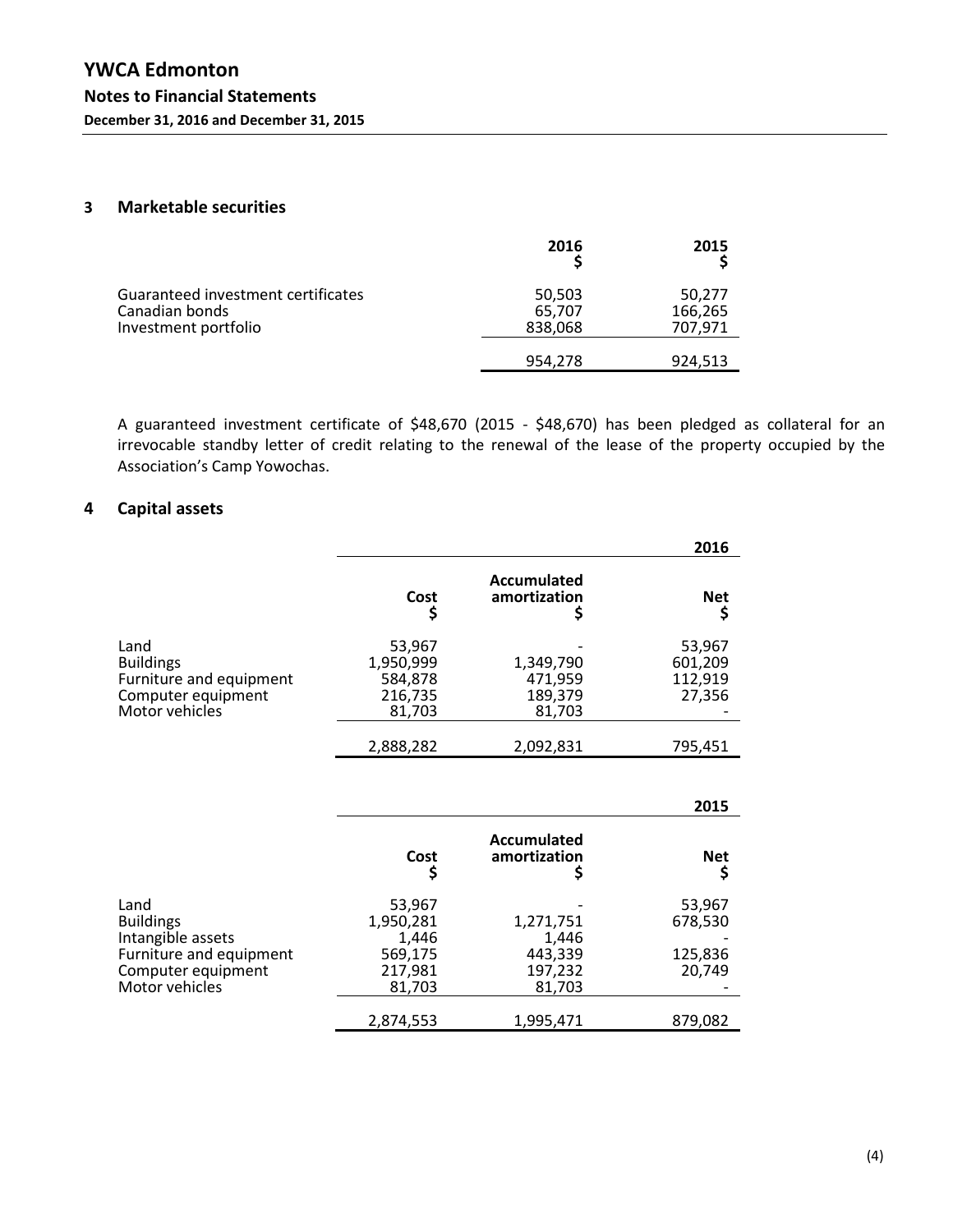## **3 Marketable securities**

|                                                                              | 2016                        | 2015                         |
|------------------------------------------------------------------------------|-----------------------------|------------------------------|
| Guaranteed investment certificates<br>Canadian bonds<br>Investment portfolio | 50,503<br>65,707<br>838,068 | 50,277<br>166,265<br>707,971 |
|                                                                              | 954.278                     | 924,513                      |

A guaranteed investment certificate of \$48,670 (2015 - \$48,670) has been pledged as collateral for an irrevocable standby letter of credit relating to the renewal of the lease of the property occupied by the Association's Camp Yowochas.

## **4 Capital assets**

|                                                                           |                                           |                                 | 2016                                   |
|---------------------------------------------------------------------------|-------------------------------------------|---------------------------------|----------------------------------------|
|                                                                           | Cost                                      | Accumulated<br>amortization     | <b>Net</b>                             |
| Land<br><b>Buildings</b><br>Furniture and equipment<br>Computer equipment | 53,967<br>1,950,999<br>584,878<br>216,735 | 1,349,790<br>471,959<br>189,379 | 53,967<br>601,209<br>112,919<br>27,356 |
| Motor vehicles                                                            | 81,703<br>2,888,282                       | 81,703<br>2,092,831             | 795,451                                |

|                                                                                                                  |                                                              |                                                    | 2015                                   |
|------------------------------------------------------------------------------------------------------------------|--------------------------------------------------------------|----------------------------------------------------|----------------------------------------|
|                                                                                                                  | Cost<br>Ş                                                    | Accumulated<br>amortization                        | <b>Net</b>                             |
| Land<br><b>Buildings</b><br>Intangible assets<br>Furniture and equipment<br>Computer equipment<br>Motor vehicles | 53,967<br>1,950,281<br>1,446<br>569,175<br>217,981<br>81,703 | 1,271,751<br>1,446<br>443,339<br>197,232<br>81,703 | 53,967<br>678,530<br>125,836<br>20,749 |
|                                                                                                                  | 2,874,553                                                    | 1,995,471                                          | 879,082                                |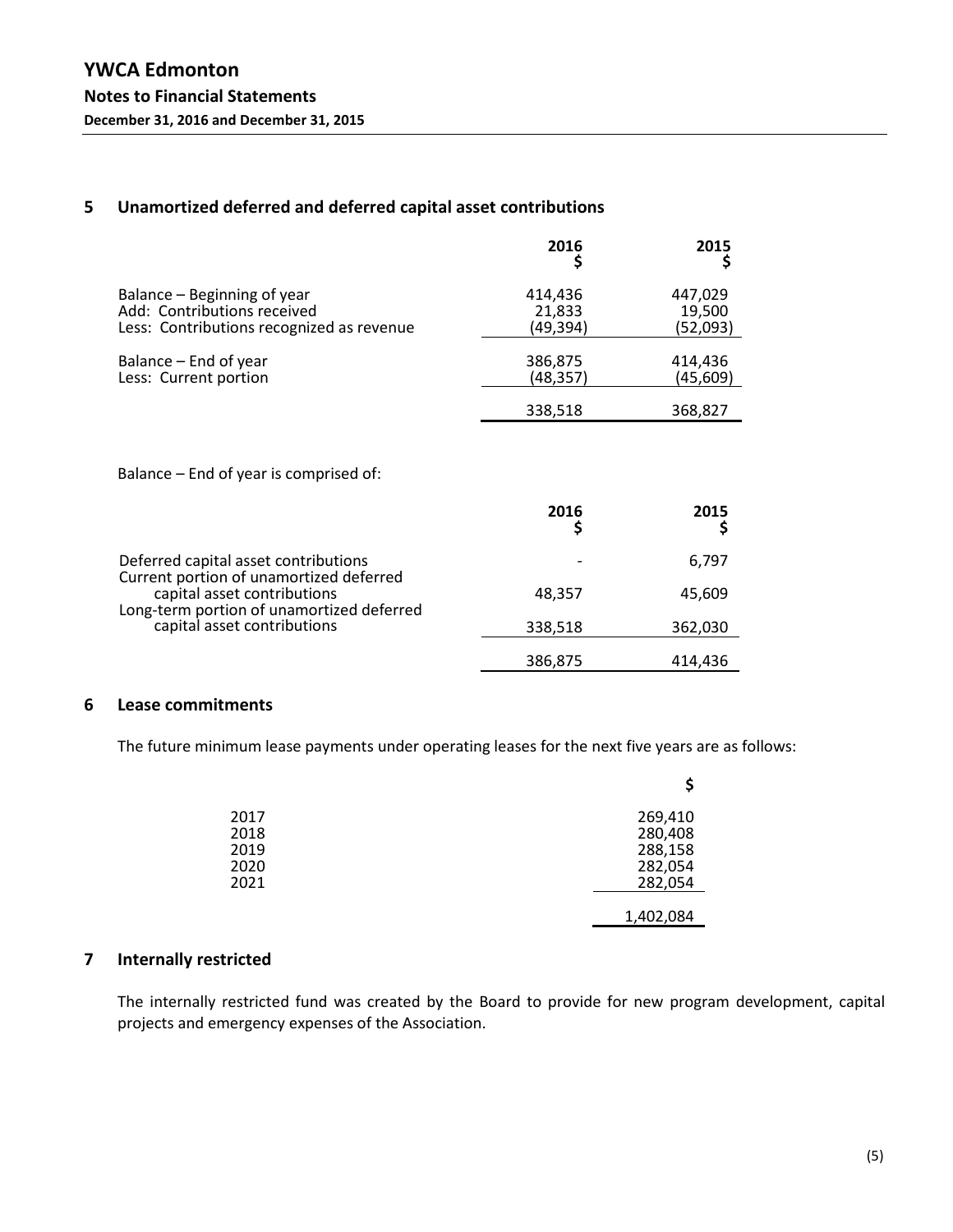## **5 Unamortized deferred and deferred capital asset contributions**

|                                           | 2016      | 2015      |
|-------------------------------------------|-----------|-----------|
| Balance – Beginning of year               | 414,436   | 447,029   |
| Add: Contributions received               | 21,833    | 19,500    |
| Less: Contributions recognized as revenue | (49.394)  | (52,093)  |
| Balance – End of year                     | 386,875   | 414,436   |
| Less: Current portion                     | (48, 357) | (45, 609) |
|                                           | 338,518   | 368,827   |

Balance – End of year is comprised of:

|                                                                                                                     | 2016    | 2015    |
|---------------------------------------------------------------------------------------------------------------------|---------|---------|
| Deferred capital asset contributions                                                                                |         | 6,797   |
| Current portion of unamortized deferred<br>capital asset contributions<br>Long-term portion of unamortized deferred | 48,357  | 45,609  |
| capital asset contributions                                                                                         | 338,518 | 362,030 |
|                                                                                                                     | 386,875 | 414,436 |

## **6 Lease commitments**

The future minimum lease payments under operating leases for the next five years are as follows:

|      | \$        |
|------|-----------|
| 2017 | 269,410   |
| 2018 | 280,408   |
| 2019 | 288,158   |
| 2020 | 282,054   |
| 2021 | 282,054   |
|      | 1,402,084 |

## **7 Internally restricted**

The internally restricted fund was created by the Board to provide for new program development, capital projects and emergency expenses of the Association.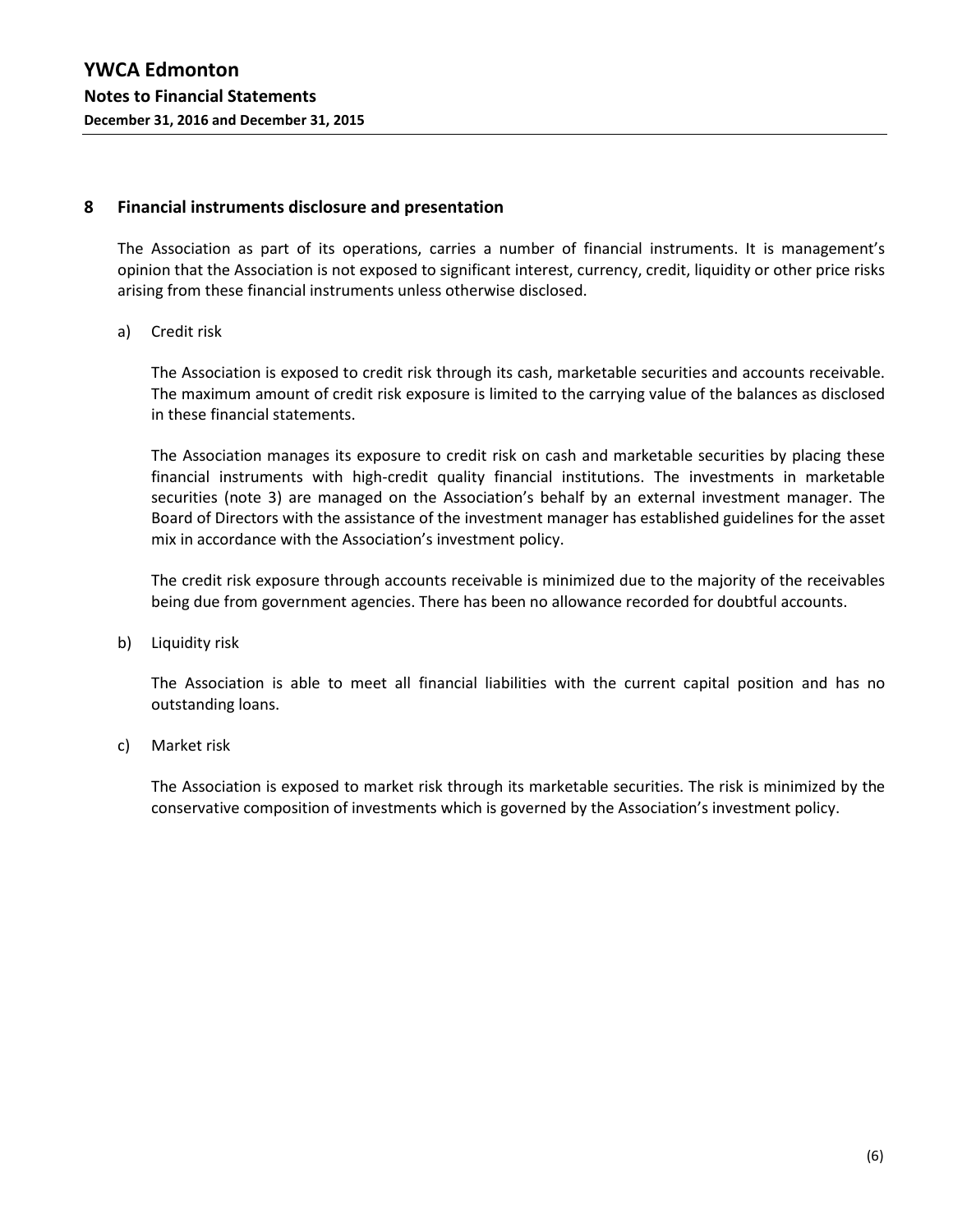#### **8 Financial instruments disclosure and presentation**

The Association as part of its operations, carries a number of financial instruments. It is management's opinion that the Association is not exposed to significant interest, currency, credit, liquidity or other price risks arising from these financial instruments unless otherwise disclosed.

a) Credit risk

The Association is exposed to credit risk through its cash, marketable securities and accounts receivable. The maximum amount of credit risk exposure is limited to the carrying value of the balances as disclosed in these financial statements.

The Association manages its exposure to credit risk on cash and marketable securities by placing these financial instruments with high-credit quality financial institutions. The investments in marketable securities (note 3) are managed on the Association's behalf by an external investment manager. The Board of Directors with the assistance of the investment manager has established guidelines for the asset mix in accordance with the Association's investment policy.

The credit risk exposure through accounts receivable is minimized due to the majority of the receivables being due from government agencies. There has been no allowance recorded for doubtful accounts.

b) Liquidity risk

The Association is able to meet all financial liabilities with the current capital position and has no outstanding loans.

c) Market risk

The Association is exposed to market risk through its marketable securities. The risk is minimized by the conservative composition of investments which is governed by the Association's investment policy.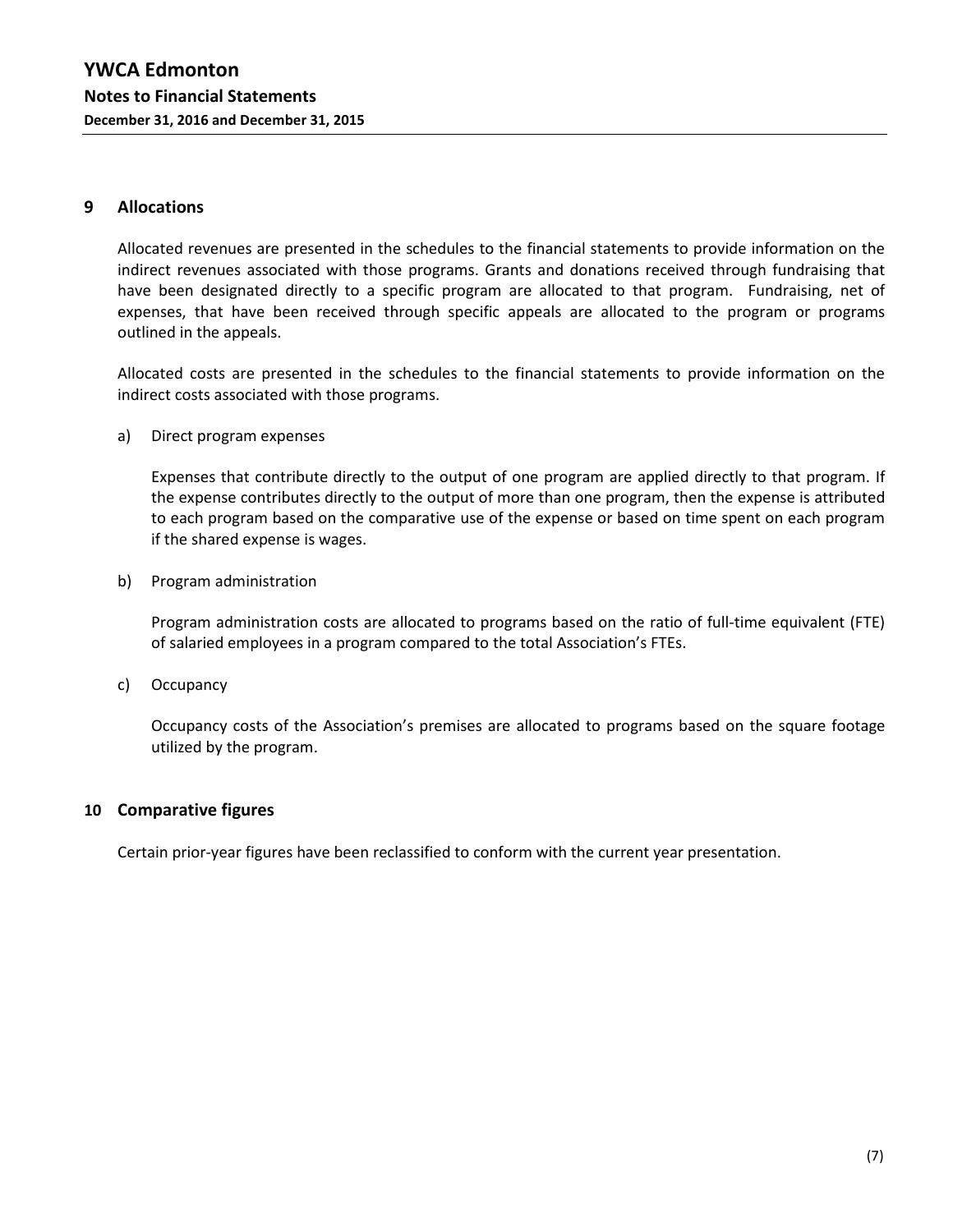## **9 Allocations**

Allocated revenues are presented in the schedules to the financial statements to provide information on the indirect revenues associated with those programs. Grants and donations received through fundraising that have been designated directly to a specific program are allocated to that program. Fundraising, net of expenses, that have been received through specific appeals are allocated to the program or programs outlined in the appeals.

Allocated costs are presented in the schedules to the financial statements to provide information on the indirect costs associated with those programs.

a) Direct program expenses

Expenses that contribute directly to the output of one program are applied directly to that program. If the expense contributes directly to the output of more than one program, then the expense is attributed to each program based on the comparative use of the expense or based on time spent on each program if the shared expense is wages.

b) Program administration

Program administration costs are allocated to programs based on the ratio of full-time equivalent (FTE) of salaried employees in a program compared to the total Association's FTEs.

c) Occupancy

Occupancy costs of the Association's premises are allocated to programs based on the square footage utilized by the program.

#### **10 Comparative figures**

Certain prior-year figures have been reclassified to conform with the current year presentation.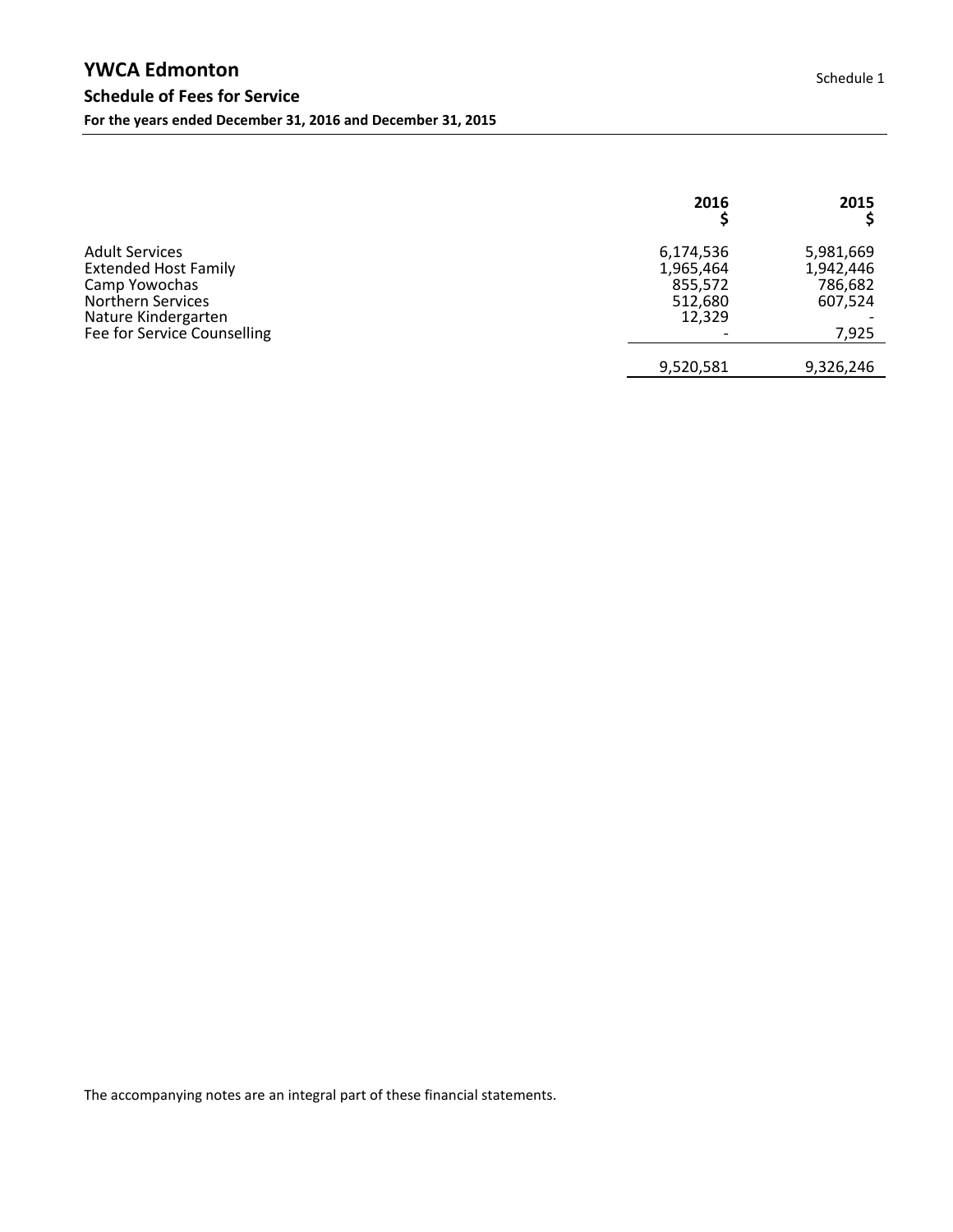|                                                                                                                                                         | 2016                                                   | 2015                                                  |
|---------------------------------------------------------------------------------------------------------------------------------------------------------|--------------------------------------------------------|-------------------------------------------------------|
| <b>Adult Services</b><br><b>Extended Host Family</b><br>Camp Yowochas<br><b>Northern Services</b><br>Nature Kindergarten<br>Fee for Service Counselling | 6,174,536<br>1,965,464<br>855,572<br>512,680<br>12,329 | 5,981,669<br>1,942,446<br>786,682<br>607,524<br>7,925 |
|                                                                                                                                                         | 9,520,581                                              | 9,326,246                                             |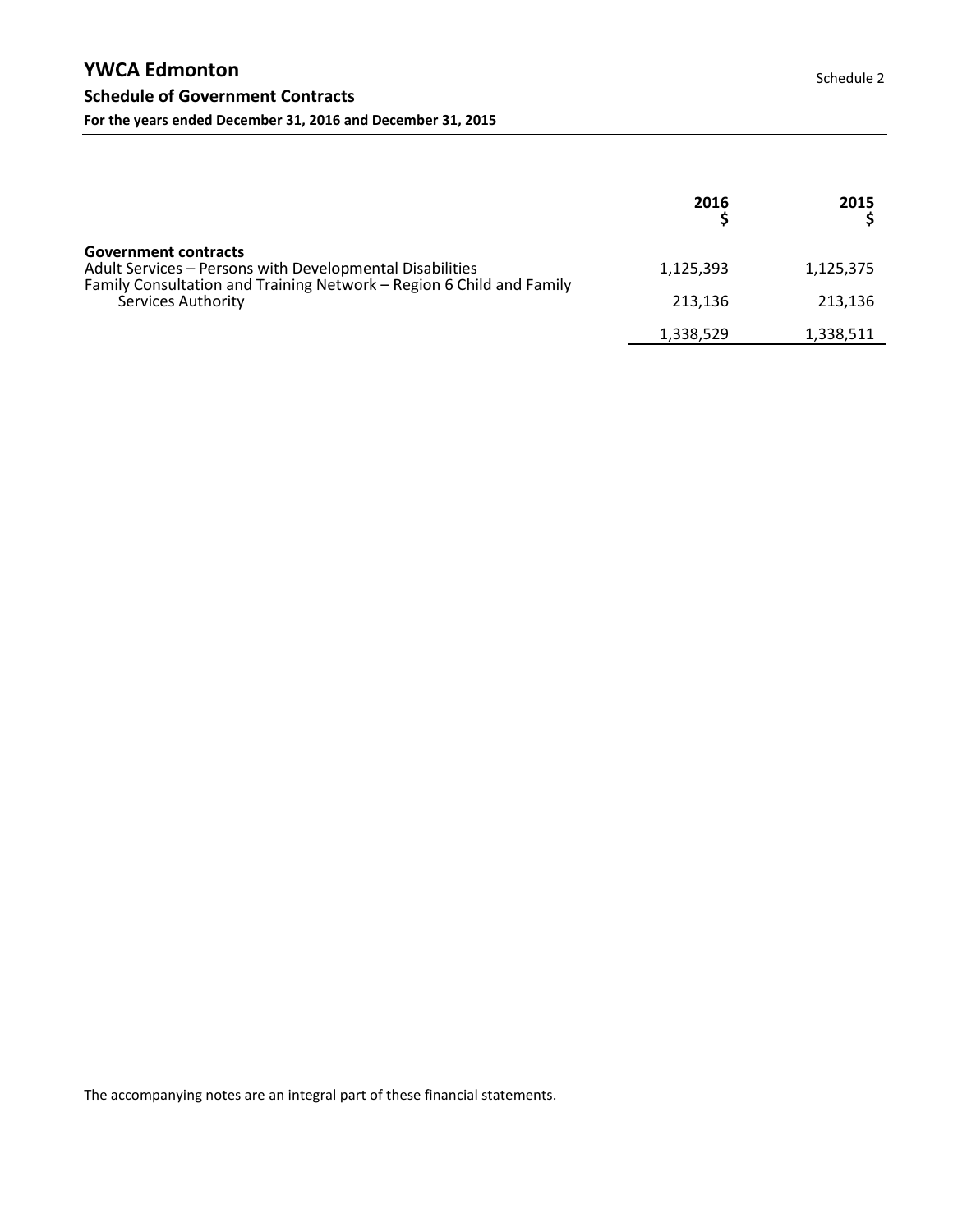|                                                                                                                                                                                       | 2016      | 2015      |
|---------------------------------------------------------------------------------------------------------------------------------------------------------------------------------------|-----------|-----------|
| <b>Government contracts</b><br>Adult Services - Persons with Developmental Disabilities<br>Family Consultation and Training Network - Region 6 Child and Family<br>Services Authority | 1,125,393 | 1,125,375 |
|                                                                                                                                                                                       | 213.136   | 213,136   |
|                                                                                                                                                                                       | 1,338,529 | 1,338,511 |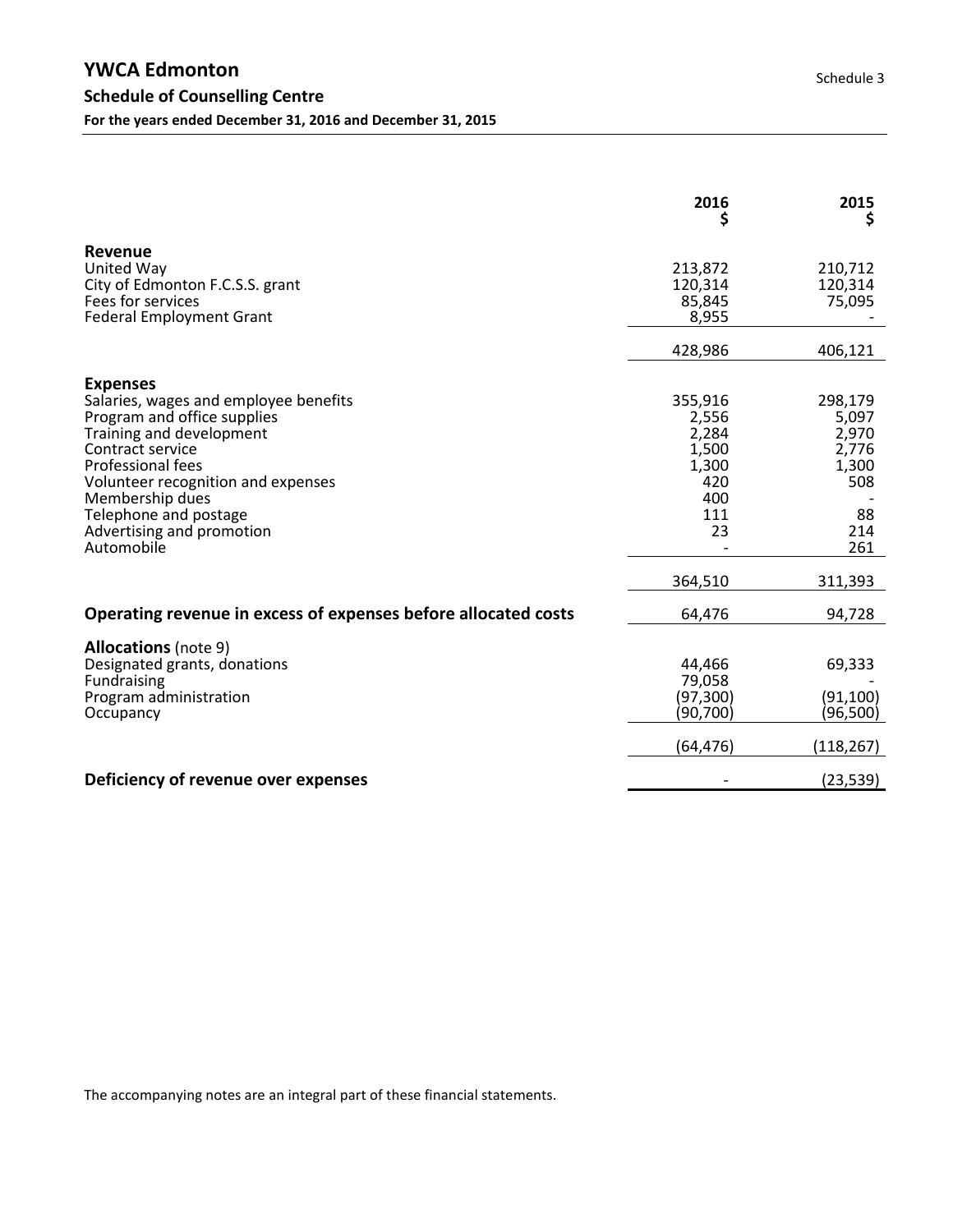|                                                                                                                                                                                                                                                                                           | 2016<br>Ş                                                                         | 2015<br>Ş                                                                         |
|-------------------------------------------------------------------------------------------------------------------------------------------------------------------------------------------------------------------------------------------------------------------------------------------|-----------------------------------------------------------------------------------|-----------------------------------------------------------------------------------|
| Revenue<br>United Way<br>City of Edmonton F.C.S.S. grant<br>Fees for services<br><b>Federal Employment Grant</b>                                                                                                                                                                          | 213,872<br>120,314<br>85,845<br>8,955                                             | 210,712<br>120,314<br>75,095                                                      |
|                                                                                                                                                                                                                                                                                           | 428,986                                                                           | 406,121                                                                           |
| <b>Expenses</b><br>Salaries, wages and employee benefits<br>Program and office supplies<br>Training and development<br>Contract service<br>Professional fees<br>Volunteer recognition and expenses<br>Membership dues<br>Telephone and postage<br>Advertising and promotion<br>Automobile | 355,916<br>2,556<br>2,284<br>1,500<br>1,300<br>420<br>400<br>111<br>23<br>364,510 | 298,179<br>5,097<br>2,970<br>2,776<br>1,300<br>508<br>88<br>214<br>261<br>311,393 |
| Operating revenue in excess of expenses before allocated costs                                                                                                                                                                                                                            | 64,476                                                                            | 94,728                                                                            |
| <b>Allocations</b> (note 9)<br>Designated grants, donations<br>Fundraising<br>Program administration<br>Occupancy                                                                                                                                                                         | 44,466<br>79,058<br>(97, 300)<br>(90,700)<br>(64, 476)                            | 69,333<br>(91, 100)<br>(96,500)<br>(118, 267)                                     |
| Deficiency of revenue over expenses                                                                                                                                                                                                                                                       |                                                                                   | (23, 539)                                                                         |